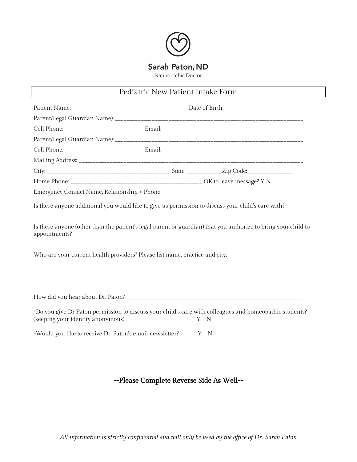

### Pediatric New Patient Intake Form

| Is there anyone additional you would like to give us permission to discuss your child's care with? |  |  |                                                                                                                     |  |  |
|----------------------------------------------------------------------------------------------------|--|--|---------------------------------------------------------------------------------------------------------------------|--|--|
| appointments?                                                                                      |  |  | Is there anyone (other than the patient's legal parent or guardian) that you authorize to bring your child to       |  |  |
| Who are your current health providers? Please list name, practice and city.                        |  |  |                                                                                                                     |  |  |
|                                                                                                    |  |  |                                                                                                                     |  |  |
| (keeping your identity anonymous)                                                                  |  |  | -Do you give Dr Paton permission to discuss your child's care with colleagues and homeopathic students?<br>- N<br>Y |  |  |
| -Would you like to receive Dr. Paton's email newsletter?                                           |  |  | Y<br>$\mathbb N$                                                                                                    |  |  |

# --Please Complete Reverse Side As Well--

*All information is strictly confidential and will only be used by the of ice of Dr. Sarah Paton*